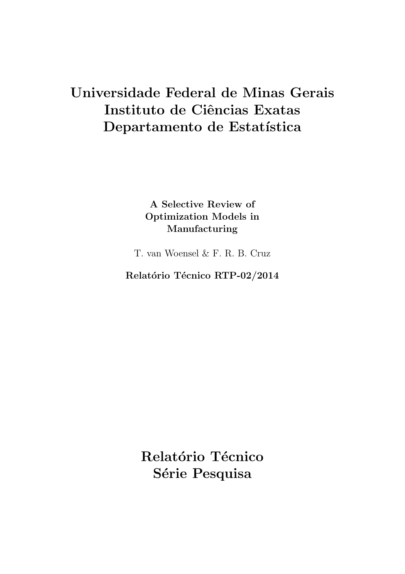## Universidade Federal de Minas Gerais Instituto de Ciências Exatas Departamento de Estatística

A Selective Review of Optimization Models in Manufacturing

T. van Woensel & F. R. B. Cruz

Relatório Técnico RTP-02/2014

Relatório Técnico Série Pesquisa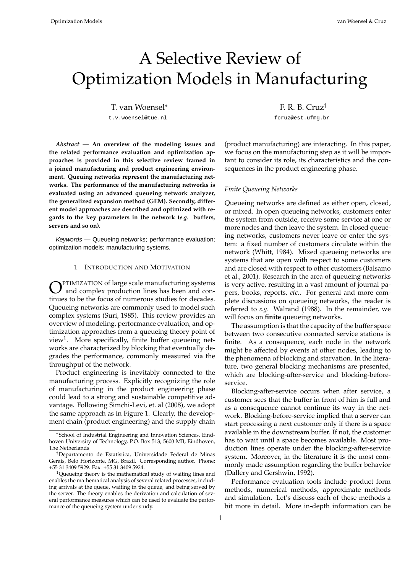# A Selective Review of Optimization Models in Manufacturing

T. van Woensel<sup>∗</sup> F. R. B. Cruz<sup>†</sup>

*Abstract —* **An overview of the modeling issues and the related performance evaluation and optimization approaches is provided in this selective review framed in a joined manufacturing and product engineering environment. Queuing networks represent the manufacturing networks. The performance of the manufacturing networks is evaluated using an advanced queueing network analyzer, the generalized expansion method (GEM). Secondly, different model approaches are described and optimized with regards to the key parameters in the network (***e.g.* **buffers, servers and so on).**

Keywords — Queueing networks; performance evaluation; optimization models; manufacturing systems.

#### 1 INTRODUCTION AND MOTIVATION

**C**PTIMIZATION of large scale manufacturing systems<br>and complex production lines has been and con-PTIMIZATION of large scale manufacturing systems tinues to be the focus of numerous studies for decades. Queueing networks are commonly used to model such complex systems (Suri, 1985). This review provides an overview of modeling, performance evaluation, and optimization approaches from a queueing theory point of view<sup>1</sup>. More specifically, finite buffer queueing networks are characterized by blocking that eventually degrades the performance, commonly measured via the throughput of the network.

Product engineering is inevitably connected to the manufacturing process. Explicitly recognizing the role of manufacturing in the product engineering phase could lead to a strong and sustainable competitive advantage. Following Simchi-Levi, et. al (2008), we adopt the same approach as in Figure 1. Clearly, the development chain (product engineering) and the supply chain

t.v.woensel@tue.nl fcruz@est.ufmg.br

(product manufacturing) are interacting. In this paper, we focus on the manufacturing step as it will be important to consider its role, its characteristics and the consequences in the product engineering phase.

#### *Finite Queueing Networks*

Queueing networks are defined as either open, closed, or mixed. In open queueing networks, customers enter the system from outside, receive some service at one or more nodes and then leave the system. In closed queueing networks, customers never leave or enter the system: a fixed number of customers circulate within the network (Whitt, 1984). Mixed queueing networks are systems that are open with respect to some customers and are closed with respect to other customers (Balsamo et al., 2001). Research in the area of queueing networks is very active, resulting in a vast amount of journal papers, books, reports, *etc.*. For general and more complete discussions on queueing networks, the reader is referred to *e.g.* Walrand (1988). In the remainder, we will focus on **finite** queueing networks.

The assumption is that the capacity of the buffer space between two consecutive connected service stations is finite. As a consequence, each node in the network might be affected by events at other nodes, leading to the phenomena of blocking and starvation. In the literature, two general blocking mechanisms are presented, which are blocking-after-service and blocking-beforeservice.

Blocking-after-service occurs when after service, a customer sees that the buffer in front of him is full and as a consequence cannot continue its way in the network. Blocking-before-service implied that a server can start processing a next customer only if there is a space available in the downstream buffer. If not, the customer has to wait until a space becomes available. Most production lines operate under the blocking-after-service system. Moreover, in the literature it is the most commonly made assumption regarding the buffer behavior (Dallery and Gershwin, 1992).

Performance evaluation tools include product form methods, numerical methods, approximate methods and simulation. Let's discuss each of these methods a bit more in detail. More in-depth information can be

<sup>∗</sup>School of Industrial Engineering and Innovation Sciences, Eindhoven University of Technology, P.O. Box 513, 5600 MB, Eindhoven, The Netherlands

<sup>&</sup>lt;sup>†</sup>Departamento de Estatística, Universidade Federal de Minas Gerais, Belo Horizonte, MG, Brazil. Corresponding author. Phone: +55 31 3409 5929. Fax: +55 31 3409 5924.

<sup>&</sup>lt;sup>1</sup>Queueing theory is the mathematical study of waiting lines and enables the mathematical analysis of several related processes, including arrivals at the queue, waiting in the queue, and being served by the server. The theory enables the derivation and calculation of several performance measures which can be used to evaluate the performance of the queueing system under study.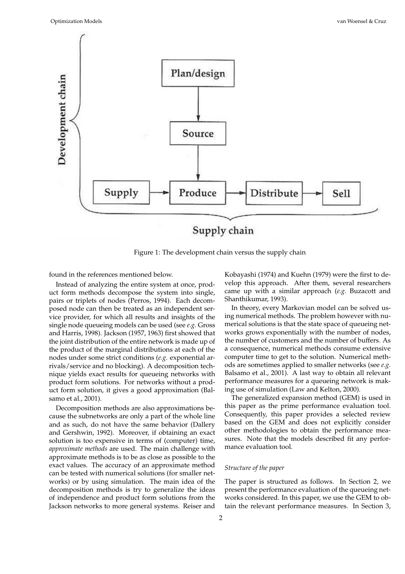

Figure 1: The development chain versus the supply chain

found in the references mentioned below.

Instead of analyzing the entire system at once, product form methods decompose the system into single, pairs or triplets of nodes (Perros, 1994). Each decomposed node can then be treated as an independent service provider, for which all results and insights of the single node queueing models can be used (see *e.g.* Gross and Harris, 1998). Jackson (1957, 1963) first showed that the joint distribution of the entire network is made up of the product of the marginal distributions at each of the nodes under some strict conditions (*e.g.* exponential arrivals/service and no blocking). A decomposition technique yields exact results for queueing networks with product form solutions. For networks without a product form solution, it gives a good approximation (Balsamo et al., 2001).

Decomposition methods are also approximations because the subnetworks are only a part of the whole line and as such, do not have the same behavior (Dallery and Gershwin, 1992). Moreover, if obtaining an exact solution is too expensive in terms of (computer) time, *approximate methods* are used. The main challenge with approximate methods is to be as close as possible to the exact values. The accuracy of an approximate method can be tested with numerical solutions (for smaller networks) or by using simulation. The main idea of the decomposition methods is try to generalize the ideas of independence and product form solutions from the Jackson networks to more general systems. Reiser and

Kobayashi (1974) and Kuehn (1979) were the first to develop this approach. After them, several researchers came up with a similar approach (*e.g.* Buzacott and Shanthikumar, 1993).

In theory, every Markovian model can be solved using numerical methods. The problem however with numerical solutions is that the state space of queueing networks grows exponentially with the number of nodes, the number of customers and the number of buffers. As a consequence, numerical methods consume extensive computer time to get to the solution. Numerical methods are sometimes applied to smaller networks (see *e.g.* Balsamo et al., 2001). A last way to obtain all relevant performance measures for a queueing network is making use of simulation (Law and Kelton, 2000).

The generalized expansion method (GEM) is used in this paper as the prime performance evaluation tool. Consequently, this paper provides a selected review based on the GEM and does not explicitly consider other methodologies to obtain the performance measures. Note that the models described fit any performance evaluation tool.

### *Structure of the paper*

The paper is structured as follows. In Section 2, we present the performance evaluation of the queueing networks considered. In this paper, we use the GEM to obtain the relevant performance measures. In Section 3,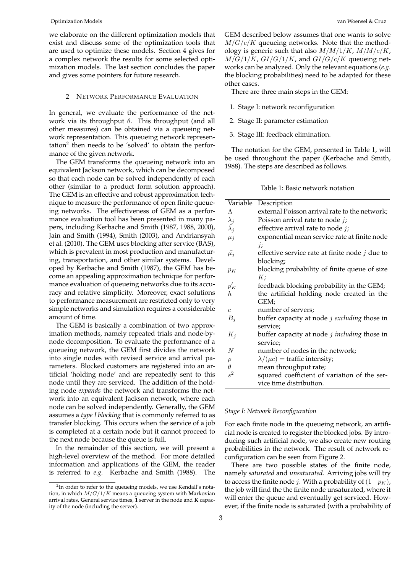we elaborate on the different optimization models that exist and discuss some of the optimization tools that are used to optimize these models. Section 4 gives for a complex network the results for some selected optimization models. The last section concludes the paper and gives some pointers for future research.

#### 2 NETWORK PERFORMANCE EVALUATION

In general, we evaluate the performance of the network via its throughput  $\theta$ . This throughput (and all other measures) can be obtained via a queueing network representation. This queueing network representation<sup>2</sup> then needs to be 'solved' to obtain the performance of the given network.

The GEM transforms the queueing network into an equivalent Jackson network, which can be decomposed so that each node can be solved independently of each other (similar to a product form solution approach). The GEM is an effective and robust approximation technique to measure the performance of open finite queueing networks. The effectiveness of GEM as a performance evaluation tool has been presented in many papers, including Kerbache and Smith (1987, 1988, 2000), Jain and Smith (1994), Smith (2003), and Andriansyah et al. (2010). The GEM uses blocking after service (BAS), which is prevalent in most production and manufacturing, transportation, and other similar systems. Developed by Kerbache and Smith (1987), the GEM has become an appealing approximation technique for performance evaluation of queueing networks due to its accuracy and relative simplicity. Moreover, exact solutions to performance measurement are restricted only to very simple networks and simulation requires a considerable amount of time.

The GEM is basically a combination of two approximation methods, namely repeated trials and node-bynode decomposition. To evaluate the performance of a queueing network, the GEM first divides the network into single nodes with revised service and arrival parameters. Blocked customers are registered into an artificial 'holding node' and are repeatedly sent to this node until they are serviced. The addition of the holding node *expands* the network and transforms the network into an equivalent Jackson network, where each node can be solved independently. Generally, the GEM assumes a *type I blocking* that is commonly referred to as transfer blocking. This occurs when the service of a job is completed at a certain node but it cannot proceed to the next node because the queue is full.

In the remainder of this section, we will present a high-level overview of the method. For more detailed information and applications of the GEM, the reader is referred to *e.g.* Kerbache and Smith (1988). The

GEM described below assumes that one wants to solve  $M/G/c/K$  queueing networks. Note that the methodology is generic such that also  $M/M/1/K$ ,  $M/M/c/K$ ,  $M/G/1/K$ ,  $GI/G/1/K$ , and  $GI/G/c/K$  queueing networks can be analyzed. Only the relevant equations (*e.g.* the blocking probabilities) need to be adapted for these other cases.

There are three main steps in the GEM:

- 1. Stage I: network reconfiguration
- 2. Stage II: parameter estimation
- 3. Stage III: feedback elimination.

The notation for the GEM, presented in Table 1, will be used throughout the paper (Kerbache and Smith, 1988). The steps are described as follows.

Table 1: Basic network notation

| Variable                           | Description                                      |
|------------------------------------|--------------------------------------------------|
| $\Lambda$                          | external Poisson arrival rate to the network;    |
|                                    | Poisson arrival rate to node j;                  |
| $\lambda_j$<br>$\tilde{\lambda}_j$ | effective arrival rate to node $j$ ;             |
| $\mu_i$                            | exponential mean service rate at finite node     |
|                                    | $\dot{\mathcal{U}}$                              |
| $\tilde{\mu_j}$                    | effective service rate at finite node $j$ due to |
|                                    | blocking;                                        |
| $p_{K}$                            | blocking probability of finite queue of size     |
|                                    | K;                                               |
| $p'_{K}$                           | feedback blocking probability in the GEM;        |
| $h_{\cdot}$                        | the artificial holding node created in the       |
|                                    | GEM;                                             |
| $\overline{c}$                     | number of servers;                               |
| $B_j$                              | buffer capacity at node $j$ excluding those in   |
|                                    | service;                                         |
| $K_j$                              | buffer capacity at node $j$ including those in   |
|                                    | service;                                         |
| N                                  | number of nodes in the network;                  |
| $\rho$                             | $\lambda/(\mu c)$ = traffic intensity;           |
| $\theta$                           | mean throughput rate;                            |
| $s^2$                              | squared coefficient of variation of the ser-     |
|                                    | vice time distribution.                          |
|                                    |                                                  |

#### *Stage I: Network Reconfiguration*

For each finite node in the queueing network, an artificial node is created to register the blocked jobs. By introducing such artificial node, we also create new routing probabilities in the network. The result of network reconfiguration can be seen from Figure 2.

There are two possible states of the finite node, namely *saturated* and *unsaturated*. Arriving jobs will try to access the finite node *j*. With a probability of  $(1-p<sub>K</sub>)$ , the job will find the the finite node unsaturated, where it will enter the queue and eventually get serviced. However, if the finite node is saturated (with a probability of

<sup>&</sup>lt;sup>2</sup>In order to refer to the queueing models, we use Kendall's notation, in which M/G/1/K means a queueing system with **M**arkovian arrival rates, **G**eneral service times, **1** server in the node and **K** capacity of the node (including the server).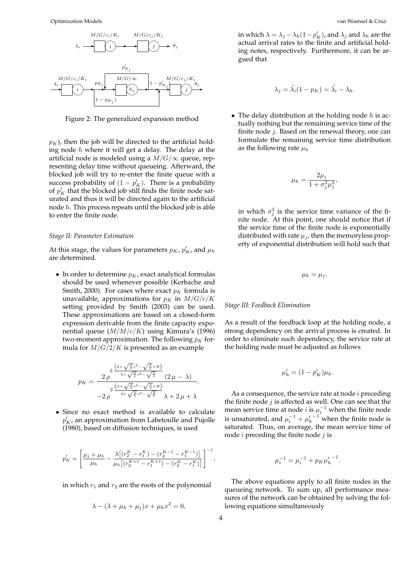

Figure 2: The generalized expansion method

 $p<sub>K</sub>$ ), then the job will be directed to the artificial holding node  $h$  where it will get a delay. The delay at the artificial node is modeled using a  $M/G/\infty$  queue, representing delay time without queueing. Afterward, the blocked job will try to re-enter the finite queue with a success probability of  $(1 - p'_K)$ . There is a probability of  $p'_K$  that the blocked job still finds the finite node saturated and thus it will be directed again to the artificial node h. This process repeats until the blocked job is able to enter the finite node.

#### *Stage II: Parameter Estimation*

At this stage, the values for parameters  $p_K$ ,  $p'_K$ , and  $\mu_h$ are determined.

• In order to determine  $p_K$ , exact analytical formulas should be used whenever possible (Kerbache and Smith, 2000). For cases where exact  $p<sub>K</sub>$  formula is unavailable, approximations for  $p_K$  in  $M/G/c/K$ setting provided by Smith (2003) can be used. These approximations are based on a closed-form expression derivable from the finite capacity exponential queue  $(M/M/c/K)$  using Kimura's (1996) two-moment approximation. The following  $p<sub>K</sub>$  formula for  $M/G/2/K$  is presented as an example

$$
p_K = \frac{2 \frac{\left(2+\sqrt{\frac{\rho}{e}}s^2-\sqrt{\frac{\rho}{e}}+B\right)}{2+\sqrt{\frac{\rho}{e}}s^2-\sqrt{\frac{\rho}{e}}}\left(2\,\mu-\lambda\right)}{-2 \,\rho} }{-2 \,\rho} \\ -2 \frac{\left(2+\sqrt{\frac{\rho}{e}}s^2-\sqrt{\frac{\rho}{e}}+B\right)}{2+\sqrt{\frac{\rho}{e}}s^2-\sqrt{\frac{\rho}{e}}}\,\lambda+2\,\mu+\lambda}.
$$

• Since no exact method is available to calculate  $p'_K$ , an approximation from Labetoulle and Pujolle (1980), based on diffusion techniques, is used

$$
p'_{K} = \left[\frac{\mu_{j} + \mu_{h}}{\mu_{h}} - \frac{\lambda \left[ \left( r_{2}^{K} - r_{1}^{K} \right) - \left( r_{2}^{K-1} - r_{1}^{K-1} \right) \right]}{\mu_{h} \left[ \left( r_{2}^{K+1} - r_{1}^{K+1} \right) - \left( r_{2}^{K} - r_{1}^{K} \right) \right]} \right]^{-1}
$$

in which  $r_1$  and  $r_2$  are the roots of the polynomial

$$
\lambda - (\lambda + \mu_h + \mu_j)x + \mu_h x^2 = 0,
$$

in which  $\lambda = \lambda_j - \lambda_h (1 - p'_K)$ , and  $\lambda_j$  and  $\lambda_h$  are the actual arrival rates to the finite and artificial holding notes, respectively. Furthermore, it can be argued that

$$
\lambda_j = \tilde{\lambda}_i (1 - p_K) = \tilde{\lambda}_i - \lambda_h.
$$

• The delay distribution at the holding node  $h$  is actually nothing but the remaining service time of the finite node j. Based on the renewal theory, one can formulate the remaining service time distribution as the following rate  $\mu_h$ 

$$
\mu_h = \frac{2\mu_j}{1 + \sigma_j^2 \mu_j^2},
$$

in which  $\sigma_j^2$  is the service time variance of the finite node. At this point, one should notice that if the service time of the finite node is exponentially distributed with rate  $\mu_i$ , then the memoryless property of exponential distribution will hold such that

$$
\mu_h=\mu_j.
$$

#### *Stage III: Feedback Elimination*

As a result of the feedback loop at the holding node, a strong dependency on the arrival process is created. In order to eliminate such dependency, the service rate at the holding node must be adjusted as follows

$$
\mu'_h = (1 - p'_K)\mu_h.
$$

As a consequence, the service rate at node  $i$  preceding the finite node  $j$  is affected as well. One can see that the mean service time at node  $i$  is  $\mu_i^{-1}$  when the finite node is unsaturated, and  $\mu_i^{-1} + \mu'_h^{-1}$  when the finite node is saturated. Thus, on average, the mean service time of node  $i$  preceding the finite node  $j$  is

$$
\mu_i^{-1} = \mu_i^{-1} + p_K {\mu'_h}^{-1}.
$$

The above equations apply to all finite nodes in the queueing network. To sum up, all performance measures of the network can be obtained by solving the following equations simultaneously

,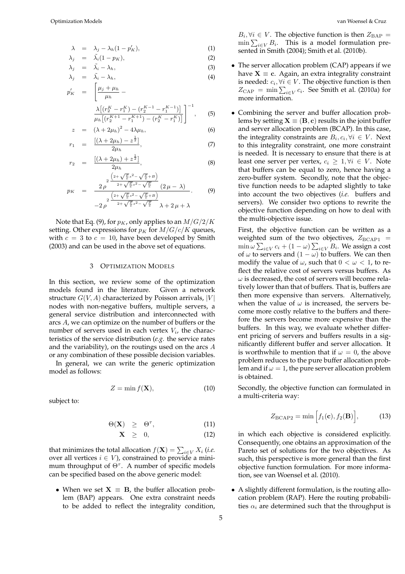$$
\lambda = \lambda_j - \lambda_h (1 - p'_K), \tag{1}
$$

$$
\lambda_j = \tilde{\lambda}_i (1 - p_K), \tag{2}
$$

$$
\lambda_j = \tilde{\lambda}_i - \lambda_h, \n\lambda_j = \tilde{\lambda}_i - \lambda_h, \n(3)
$$
\n(4)

$$
p'_{K} = \left[ \frac{\mu_{j} + \mu_{h}}{\mu_{h}} - \frac{\lambda \left[ (r_{2}^{K} - r_{1}^{K}) - (r_{2}^{K-1} - r_{1}^{K-1}) \right]}{\mu_{h} \left[ (r_{2}^{K+1} - r_{1}^{K+1}) - (r_{2}^{K} - r_{1}^{K}) \right]} \right]^{-1}, \quad (5)
$$

$$
z = (\lambda + 2\mu_h)^2 - 4\lambda\mu_h,
$$
  

$$
[(\lambda + 2\mu_h) - z^{\frac{1}{2}}]
$$
 (6)

$$
r_1 = \frac{[(\lambda + 2\mu_h) - z^{\frac{1}{2}}]}{2\mu_h},
$$
\n(7)

$$
r_2 = \frac{[(\lambda + 2\mu_h) + z^{\frac{1}{2}}]}{2\mu_h},
$$
\n(8)

$$
p_{K} = \frac{2 \int_{0}^{2} \frac{\left(2 + \sqrt{\frac{p}{e}} s^{2} - \sqrt{\frac{p}{e}} + B\right)}{2 + \sqrt{\frac{p}{e}} s^{2} - \sqrt{\frac{p}{e}} \left(2 \mu - \lambda\right)} - 2 \int_{0}^{2} \frac{\left(2 + \sqrt{\frac{p}{e}} s^{2} - \sqrt{\frac{p}{e}} + B\right)}{2 + \sqrt{\frac{p}{e}} s^{2} - \sqrt{\frac{p}{e}} \lambda + 2 \mu + \lambda}.
$$
 (9)

Note that Eq. (9), for  $p_K$ , only applies to an  $M/G/2/K$ setting. Other expressions for  $p_K$  for  $M/G/c/K$  queues, with  $c = 3$  to  $c = 10$ , have been developed by Smith (2003) and can be used in the above set of equations.

#### 3 OPTIMIZATION MODELS

In this section, we review some of the optimization models found in the literature. Given a network structure  $G(V, A)$  characterized by Poisson arrivals, |V| nodes with non-negative buffers, multiple servers, a general service distribution and interconnected with arcs A, we can optimize on the number of buffers or the number of servers used in each vertex  $V_i$ , the characteristics of the service distribution (*e.g.* the service rates and the variability), on the routings used on the arcs A or any combination of these possible decision variables.

In general, we can write the generic optimization model as follows:

$$
Z = \min f(\mathbf{X}),\tag{10}
$$

subject to:

$$
\Theta(\mathbf{X}) \quad \geq \quad \Theta^{\tau}, \tag{11}
$$

$$
\mathbf{X} \quad \geq \quad 0, \tag{12}
$$

that minimizes the total allocation  $f(\mathbf{X}) = \sum_{i \in V} X_i$  (*i.e.* over all vertices  $i \in V$ ), constrained to provide a minimum throughput of  $\Theta^{\tau}$ . A number of specific models can be specified based on the above generic model:

• When we set  $X \equiv B$ , the buffer allocation problem (BAP) appears. One extra constraint needs to be added to reflect the integrality condition,

 $B_i$ ,  $\forall i \in V$ . The objective function is then  $Z_{\text{BAP}} =$  $\min\sum_{i\in V}B_i$ . This is a model formulation presented in Smith (2004); Smith et al. (2010b).

- The server allocation problem (CAP) appears if we have  $X \equiv c$ . Again, an extra integrality constraint is needed:  $c_i, \forall i \in V$ . The objective function is then  $Z_{\text{CAP}} = \min \sum_{i \in V} c_i$ . See Smith et al. (2010a) for more information.
- Combining the server and buffer allocation problems by setting  $X \equiv (B, c)$  results in the joint buffer and server allocation problem (BCAP). In this case, the integrality constraints are  $B_i, c_i, \forall i \in V$ . Next to this integrality constraint, one more constraint is needed. It is necessary to ensure that there is at least one server per vertex,  $c_i \geq 1, \forall i \in V$ . Note that buffers can be equal to zero, hence having a zero-buffer system. Secondly, note that the objective function needs to be adapted slightly to take into account the two objectives (*i.e.* buffers and servers). We consider two options to rewrite the objective function depending on how to deal with the multi-objective issue.

First, the objective function can be written as a weighted sum of the two objectives,  $Z_{BCAP1}$  =  $\min_{\omega} \sum_{i \in V} c_i + (1 - \omega) \sum_{i \in V} B_i$ . We assign a cost of  $\omega$  to servers and  $(1 - \omega)$  to buffers. We can then modify the value of  $\omega$ , such that  $0 < \omega < 1$ , to reflect the relative cost of servers versus buffers. As  $\omega$  is decreased, the cost of servers will become relatively lower than that of buffers. That is, buffers are then more expensive than servers. Alternatively, when the value of  $\omega$  is increased, the servers become more costly relative to the buffers and therefore the servers become more expensive than the buffers. In this way, we evaluate whether different pricing of servers and buffers results in a significantly different buffer and server allocation. It is worthwhile to mention that if  $\omega = 0$ , the above problem reduces to the pure buffer allocation problem and if  $\omega = 1$ , the pure server allocation problem is obtained.

Secondly, the objective function can formulated in a multi-criteria way:

$$
Z_{\text{BCAP2}} = \min\left[f_1(\mathbf{c}), f_2(\mathbf{B})\right],\tag{13}
$$

in which each objective is considered explicitly. Consequently, one obtains an approximation of the Pareto set of solutions for the two objectives. As such, this perspective is more general than the first objective function formulation. For more information, see van Woensel et al. (2010).

• A slightly different formulation, is the routing allocation problem (RAP). Here the routing probabilities  $\alpha_i$  are determined such that the throughput is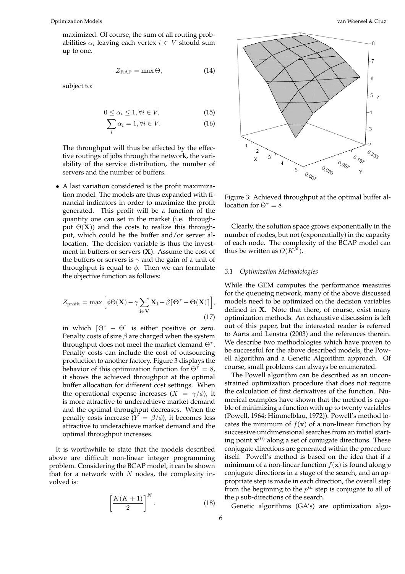maximized. Of course, the sum of all routing probabilities  $\alpha_i$  leaving each vertex  $i \in V$  should sum up to one.

$$
Z_{\rm RAP} = \max \Theta, \qquad (14)
$$

subject to:

$$
0 \le \alpha_i \le 1, \forall i \in V,\tag{15}
$$

$$
\sum_{i} \alpha_i = 1, \forall i \in V. \tag{16}
$$

The throughput will thus be affected by the effective routings of jobs through the network, the variability of the service distribution, the number of servers and the number of buffers.

• A last variation considered is the profit maximization model. The models are thus expanded with financial indicators in order to maximize the profit generated. This profit will be a function of the quantity one can set in the market (i.e. throughput  $\Theta(X)$ ) and the costs to realize this throughput, which could be the buffer and/or server allocation. The decision variable is thus the investment in buffers or servers  $(X)$ . Assume the cost of the buffers or servers is  $\gamma$  and the gain of a unit of throughput is equal to  $\phi$ . Then we can formulate the objective function as follows:

$$
Z_{\text{profit}} = \max \left[ \phi \Theta(\mathbf{X}) - \gamma \sum_{i \in \mathbf{V}} \mathbf{X}_i - \beta \left[ \Theta^{\tau} - \Theta(\mathbf{X}) \right] \right],
$$
\n(17)

in which  $[\Theta^{\tau} - \Theta]$  is either positive or zero. Penalty costs of size  $\beta$  are charged when the system throughput does not meet the market demand  $\Theta^{\tau}$ . Penalty costs can include the cost of outsourcing production to another factory. Figure 3 displays the behavior of this optimization function for  $\Theta^{\tau} = 8$ , it shows the achieved throughput at the optimal buffer allocation for different cost settings. When the operational expense increases  $(X = \gamma/\phi)$ , it is more attractive to underachieve market demand and the optimal throughput decreases. When the penalty costs increase  $(Y = \beta/\phi)$ , it becomes less attractive to underachieve market demand and the optimal throughput increases.

It is worthwhile to state that the models described above are difficult non-linear integer programming problem. Considering the BCAP model, it can be shown that for a network with  $N$  nodes, the complexity involved is:

$$
\left[\frac{K(K+1)}{2}\right]^N.\tag{18}
$$



Figure 3: Achieved throughput at the optimal buffer allocation for  $\Theta^{\tau} = 8$ 

Clearly, the solution space grows exponentially in the number of nodes, but not (exponentially) in the capacity of each node. The complexity of the BCAP model can thus be written as  $O(K^N)$ .

#### *3.1 Optimization Methodologies*

While the GEM computes the performance measures for the queueing network, many of the above discussed models need to be optimized on the decision variables defined in X. Note that there, of course, exist many optimization methods. An exhaustive discussion is left out of this paper, but the interested reader is referred to Aarts and Lenstra (2003) and the references therein. We describe two methodologies which have proven to be successful for the above described models, the Powell algorithm and a Genetic Algorithm approach. Of course, small problems can always be enumerated.

The Powell algorithm can be described as an unconstrained optimization procedure that does not require the calculation of first derivatives of the function. Numerical examples have shown that the method is capable of minimizing a function with up to twenty variables (Powell, 1964; Himmelblau, 1972)). Powell's method locates the minimum of  $f(x)$  of a non-linear function by successive unidimensional searches from an initial starting point  $x^{(0)}$  along a set of conjugate directions. These conjugate directions are generated within the procedure itself. Powell's method is based on the idea that if a minimum of a non-linear function  $f(\mathbf{x})$  is found along p conjugate directions in a stage of the search, and an appropriate step is made in each direction, the overall step from the beginning to the  $p^{th}$  step is conjugate to all of the  $p$  sub-directions of the search.

Genetic algorithms (GA's) are optimization algo-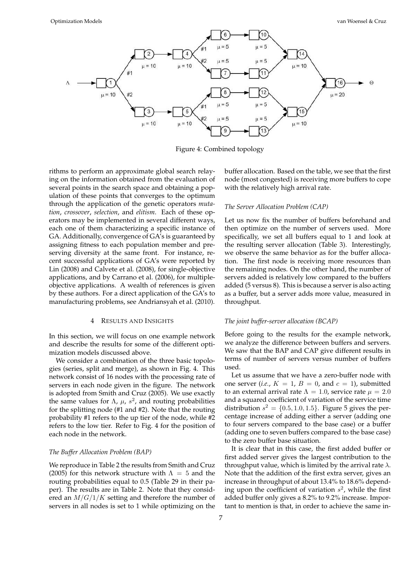

Figure 4: Combined topology

rithms to perform an approximate global search relaying on the information obtained from the evaluation of several points in the search space and obtaining a population of these points that converges to the optimum through the application of the genetic operators *mutation*, *crossover*, *selection*, and *elitism*. Each of these operators may be implemented in several different ways, each one of them characterizing a specific instance of GA. Additionally, convergence of GA's is guaranteed by assigning fitness to each population member and preserving diversity at the same front. For instance, recent successful applications of GA's were reported by Lin (2008) and Calvete et al. (2008), for single-objective applications, and by Carrano et al. (2006), for multipleobjective applications. A wealth of references is given by these authors. For a direct application of the GA's to manufacturing problems, see Andriansyah et al. (2010).

#### 4 RESULTS AND INSIGHTS

In this section, we will focus on one example network and describe the results for some of the different optimization models discussed above.

We consider a combination of the three basic topologies (series, split and merge), as shown in Fig. 4. This network consist of 16 nodes with the processing rate of servers in each node given in the figure. The network is adopted from Smith and Cruz (2005). We use exactly the same values for  $\Lambda$ ,  $\mu$ ,  $s^2$ , and routing probabilities for the splitting node (#1 and #2). Note that the routing probability #1 refers to the up tier of the node, while #2 refers to the low tier. Refer to Fig. 4 for the position of each node in the network.

#### *The Buffer Allocation Problem (BAP)*

We reproduce in Table 2 the results from Smith and Cruz (2005) for this network structure with  $\Lambda = 5$  and the routing probabilities equal to 0.5 (Table 29 in their paper). The results are in Table 2. Note that they considered an  $M/G/1/K$  setting and therefore the number of servers in all nodes is set to 1 while optimizing on the

buffer allocation. Based on the table, we see that the first node (most congested) is receiving more buffers to cope with the relatively high arrival rate.

### *The Server Allocation Problem (CAP)*

Let us now fix the number of buffers beforehand and then optimize on the number of servers used. More specifically, we set all buffers equal to 1 and look at the resulting server allocation (Table 3). Interestingly, we observe the same behavior as for the buffer allocation. The first node is receiving more resources than the remaining nodes. On the other hand, the number of servers added is relatively low compared to the buffers added (5 versus 8). This is because a server is also acting as a buffer, but a server adds more value, measured in throughput.

#### *The joint buffer-server allocation (BCAP)*

Before going to the results for the example network, we analyze the difference between buffers and servers. We saw that the BAP and CAP give different results in terms of number of servers versus number of buffers used.

Let us assume that we have a zero-buffer node with one server (*i.e.*,  $K = 1$ ,  $B = 0$ , and  $c = 1$ ), submitted to an external arrival rate  $\Lambda = 1.0$ , service rate  $\mu = 2.0$ and a squared coefficient of variation of the service time distribution  $s^2 = \{0.5, 1.0, 1.5\}$ . Figure 5 gives the percentage increase of adding either a server (adding one to four servers compared to the base case) or a buffer (adding one to seven buffers compared to the base case) to the zero buffer base situation.

It is clear that in this case, the first added buffer or first added server gives the largest contribution to the throughput value, which is limited by the arrival rate  $\lambda$ . Note that the addition of the first extra server, gives an increase in throughput of about 13.4% to 18.6% depending upon the coefficient of variation  $s^2$ , while the first added buffer only gives a 8.2% to 9.2% increase. Important to mention is that, in order to achieve the same in-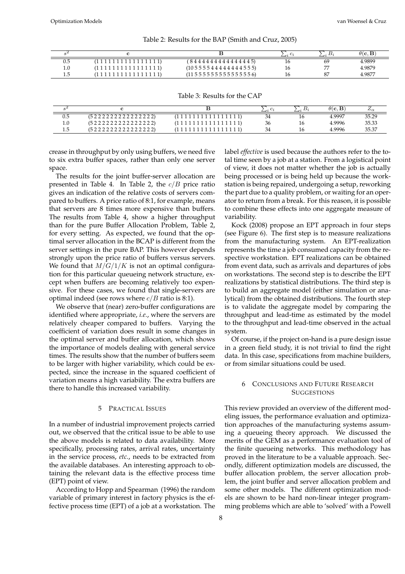|     |                    |                                                  |    | $\theta(\mathbf{c}, \mathbf{B})$ |
|-----|--------------------|--------------------------------------------------|----|----------------------------------|
| 0.5 | (1111111111111111) | (844444444444445)                                | 69 | 4.9899                           |
| 1.0 | (1111111111111111) | $(10\,5\,5\,5\,5\,4\,4\,4\,4\,4\,4\,4\,5\,5\,5)$ | -- | 4.9879                           |
|     | (1111111111111111) | $(11\,5\,5\,5\,5\,5\,5\,5\,5\,5\,5\,5\,5\,6)$    | 87 | 4.987                            |

Table 2: Results for the BAP (Smith and Cruz, 2005)

Table 3: Results for the CAP

|     |                   | - 40 | – ∠⊶ | $\theta$ (c, B | $\omega_{\alpha}$ |
|-----|-------------------|------|------|----------------|-------------------|
| U.J | (522222222222222) | 34   |      | 4.9997         | 35.29             |
| 1.U | (522222222222222) | 36   | 16   | 4.9996         | 35.33             |
| ن 1 |                   | 34   | 16   | 4.9996         | 35.37             |

crease in throughput by only using buffers, we need five to six extra buffer spaces, rather than only one server space.

The results for the joint buffer-server allocation are presented in Table 4. In Table 2, the  $c/B$  price ratio gives an indication of the relative costs of servers compared to buffers. A price ratio of 8:1, for example, means that servers are 8 times more expensive than buffers. The results from Table 4, show a higher throughput than for the pure Buffer Allocation Problem, Table 2, for every setting. As expected, we found that the optimal server allocation in the BCAP is different from the server settings in the pure BAP. This however depends strongly upon the price ratio of buffers versus servers. We found that  $M/G/1/K$  is not an optimal configuration for this particular queueing network structure, except when buffers are becoming relatively too expensive. For these cases, we found that single-servers are optimal indeed (see rows where  $c/B$  ratio is 8:1).

We observe that (near) zero-buffer configurations are identified where appropriate, *i.e.*, where the servers are relatively cheaper compared to buffers. Varying the coefficient of variation does result in some changes in the optimal server and buffer allocation, which shows the importance of models dealing with general service times. The results show that the number of buffers seem to be larger with higher variability, which could be expected, since the increase in the squared coefficient of variation means a high variability. The extra buffers are there to handle this increased variability.

#### 5 PRACTICAL ISSUES

In a number of industrial improvement projects carried out, we observed that the critical issue to be able to use the above models is related to data availability. More specifically, processing rates, arrival rates, uncertainty in the service process, *etc.*, needs to be extracted from the available databases. An interesting approach to obtaining the relevant data is the effective process time (EPT) point of view.

According to Hopp and Spearman (1996) the random variable of primary interest in factory physics is the effective process time (EPT) of a job at a workstation. The label *effective* is used because the authors refer to the total time seen by a job at a station. From a logistical point of view, it does not matter whether the job is actually being processed or is being held up because the workstation is being repaired, undergoing a setup, reworking the part due to a quality problem, or waiting for an operator to return from a break. For this reason, it is possible to combine these effects into one aggregate measure of variability.

Kock (2008) propose an EPT approach in four steps (see Figure 6). The first step is to measure realizations from the manufacturing system. An EPT-realization represents the time a job consumed capacity from the respective workstation. EPT realizations can be obtained from event data, such as arrivals and departures of jobs on workstations. The second step is to describe the EPT realizations by statistical distributions. The third step is to build an aggregate model (either simulation or analytical) from the obtained distributions. The fourth step is to validate the aggregate model by comparing the throughput and lead-time as estimated by the model to the throughput and lead-time observed in the actual system.

Of course, if the project on-hand is a pure design issue in a green field study, it is not trivial to find the right data. In this case, specifications from machine builders, or from similar situations could be used.

#### 6 CONCLUSIONS AND FUTURE RESEARCH **SUGGESTIONS**

This review provided an overview of the different modeling issues, the performance evaluation and optimization approaches of the manufacturing systems assuming a queueing theory approach. We discussed the merits of the GEM as a performance evaluation tool of the finite queueing networks. This methodology has proved in the literature to be a valuable approach. Secondly, different optimization models are discussed, the buffer allocation problem, the server allocation problem, the joint buffer and server allocation problem and some other models. The different optimization models are shown to be hard non-linear integer programming problems which are able to 'solved' with a Powell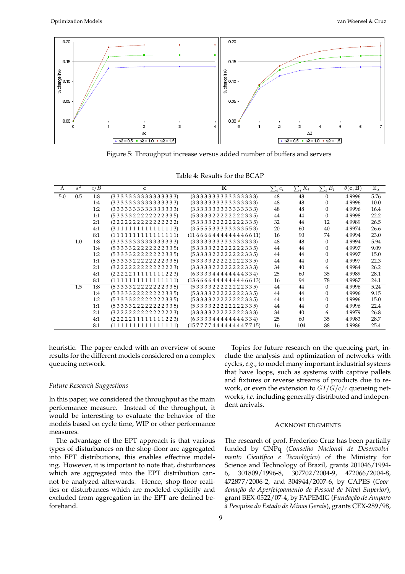

Figure 5: Throughput increase versus added number of buffers and servers

| Table 4: Results for the BCAP |  |  |  |
|-------------------------------|--|--|--|
|-------------------------------|--|--|--|

| $\Lambda$ | $s^2$            | c/B | $\mathbf c$        | ĸ                    | $\sum_i c_i$ | $\sum_i \overline{K_i}$ | $\sum_i \overline{B_i}$ | $\theta(\mathbf{c}, \mathbf{B})$ | $Z_{\alpha}$ |
|-----------|------------------|-----|--------------------|----------------------|--------------|-------------------------|-------------------------|----------------------------------|--------------|
| 5.0       | 0.5              | 1:8 | (333333333333333)  | (333333333333333)    | 48           | 48                      | $\Omega$                | 4.9996                           | 5.76         |
|           |                  | 1:4 | (333333333333333)  | (333333333333333)    | 48           | 48                      | $\Omega$                | 4.9996                           | 10.0         |
|           |                  | 1:2 | (333333333333333)  | (333333333333333)    | 48           | 48                      | $\Omega$                | 4.9996                           | 16.4         |
|           |                  | 1:1 | (5333322222222335) | (5333322222222335)   | 44           | 44                      | $\theta$                | 4.9998                           | 22.2         |
|           |                  | 2:1 | (222222222222222)  | (5333322222222335)   | 32           | 44                      | 12                      | 4.9989                           | 26.5         |
|           |                  | 4:1 | (311111111111113)  | (3555533333333553)   | 20           | 60                      | 40                      | 4.9974                           | 26.6         |
|           |                  | 8:1 | (1111111111111111) | (116666444444446611) | 16           | 90                      | 74                      | 4.9994                           | 23.0         |
|           | 1.0              | 1:8 | (333333333333333)  | (333333333333333)    | 48           | 48                      | $\Omega$                | 4.9994                           | 5.94         |
|           |                  | 1:4 | (5333322222222335) | (5333322222222335)   | 44           | 44                      | $\theta$                | 4.9997                           | 9.09         |
|           |                  | 1:2 | (5333322222222335) | (5333322222222335)   | 44           | 44                      | $\theta$                | 4.9997                           | 15.0         |
|           |                  | 1:1 | (5333322222222335) | (5333322222222335)   | 44           | 44                      | $\overline{0}$          | 4.9997                           | 22.3         |
|           |                  | 2:1 | (32222222222223)   | (3333322222222333)   | 34           | 40                      | 6                       | 4.9984                           | 26.2         |
|           |                  | 4:1 | (2222211111111223) | (6333344444444334)   | 25           | 60                      | 35                      | 4.9989                           | 28.1         |
|           |                  | 8:1 | (1111111111111111) | (136666444444446613) | 16           | 94                      | 78                      | 4.9987                           | 24.1         |
|           | $\overline{1.5}$ | 1:8 | (5333322222222335) | (5333322222222335)   | 44           | 44                      | $\theta$                | 4.9996                           | 5.24         |
|           |                  | 1:4 | (5333322222222335) | (5333322222222335)   | 44           | 44                      | $\theta$                | 4.9996                           | 9.15         |
|           |                  | 1:2 | (5333322222222335) | (5333322222222335)   | 44           | 44                      | $\Omega$                | 4.9996                           | 15.0         |
|           |                  | 1:1 | (5333322222222335) | (5333322222222335)   | 44           | 44                      | $\overline{0}$          | 4.9996                           | 22.4         |
|           |                  | 2:1 | (32222222222223)   | (3333322222222333)   | 34           | 40                      | 6                       | 4.9979                           | 26.8         |
|           |                  | 4:1 | (2222211111111223) | (6333344444444334)   | 25           | 60                      | 35                      | 4.9983                           | 28.7         |
|           |                  | 8:1 | (1111111111111111) | (157777444444447715) | 16           | 104                     | 88                      | 4.9986                           | 25.4         |

heuristic. The paper ended with an overview of some results for the different models considered on a complex queueing network.

#### *Future Research Suggestions*

In this paper, we considered the throughput as the main performance measure. Instead of the throughput, it would be interesting to evaluate the behavior of the models based on cycle time, WIP or other performance measures.

The advantage of the EPT approach is that various types of disturbances on the shop-floor are aggregated into EPT distributions, this enables effective modeling. However, it is important to note that, disturbances which are aggregated into the EPT distribution cannot be analyzed afterwards. Hence, shop-floor realities or disturbances which are modeled explicitly and excluded from aggregation in the EPT are defined beforehand.

clude the analysis and optimization of networks with cycles, *e.g.*, to model many important industrial systems that have loops, such as systems with captive pallets and fixtures or reverse streams of products due to rework, or even the extension to  $GI/G/c/c$  queueing networks, *i.e.* including generally distributed and independent arrivals. **ACKNOWLEDGMENTS** 

Topics for future research on the queueing part, in-

The research of prof. Frederico Cruz has been partially funded by CNPq (*Conselho Nacional de Desenvolvimento Cient´ıfico e Tecnol´ogico*) of the Ministry for Science and Technology of Brazil, grants 201046/1994- 6, 301809/1996-8, 307702/2004-9, 472066/2004-8, 472877/2006-2, and 304944/2007-6, by CAPES (*Coor*denação de Aperfeiçoamento de Pessoal de Nível Superior), grant BEX-0522/07-4, by FAPEMIG (*Fundação de Amparo `a Pesquisa do Estado de Minas Gerais*), grants CEX-289/98,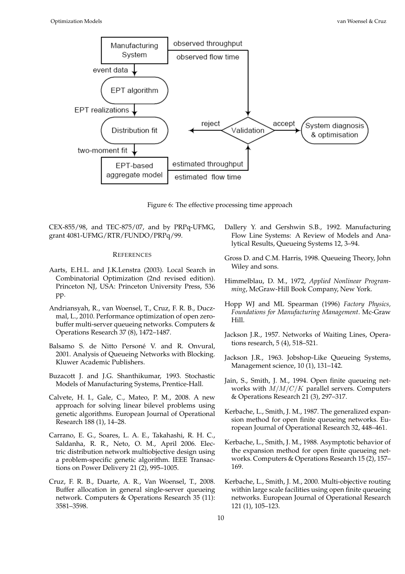

Figure 6: The effective processing time approach

CEX-855/98, and TEC-875/07, and by PRPq-UFMG, grant 4081-UFMG/RTR/FUNDO/PRPq/99.

#### **REFERENCES**

- Aarts, E.H.L. and J.K.Lenstra (2003). Local Search in Combinatorial Optimization (2nd revised edition). Princeton NJ, USA: Princeton University Press, 536 pp.
- Andriansyah, R., van Woensel, T., Cruz, F. R. B., Duczmal, L., 2010. Performance optimization of open zerobuffer multi-server queueing networks. Computers & Operations Research 37 (8), 1472–1487.
- Balsamo S. de Nitto Personé V. and R. Onvural, 2001. Analysis of Queueing Networks with Blocking. Kluwer Academic Publishers.
- Buzacott J. and J.G. Shanthikumar, 1993. Stochastic Models of Manufacturing Systems, Prentice-Hall.
- Calvete, H. I., Gale, C., Mateo, P. M., 2008. A new approach for solving linear bilevel problems using genetic algorithms. European Journal of Operational Research 188 (1), 14–28.
- Carrano, E. G., Soares, L. A. E., Takahashi, R. H. C., Saldanha, R. R., Neto, O. M., April 2006. Electric distribution network multiobjective design using a problem-specific genetic algorithm. IEEE Transactions on Power Delivery 21 (2), 995–1005.
- Cruz, F. R. B., Duarte, A. R., Van Woensel, T., 2008. Buffer allocation in general single-server queueing network. Computers & Operations Research 35 (11): 3581–3598.
- Dallery Y. and Gershwin S.B., 1992. Manufacturing Flow Line Systems: A Review of Models and Analytical Results, Queueing Systems 12, 3–94.
- Gross D. and C.M. Harris, 1998. Queueing Theory, John Wiley and sons.
- Himmelblau, D. M., 1972, *Applied Nonlinear Programming*, McGraw-Hill Book Company, New York.
- Hopp WJ and ML Spearman (1996) *Factory Physics, Foundations for Manufacturing Management*. Mc-Graw Hill.
- Jackson J.R., 1957. Networks of Waiting Lines, Operations research, 5 (4), 518–521.
- Jackson J.R., 1963. Jobshop-Like Queueing Systems, Management science, 10 (1), 131–142.
- Jain, S., Smith, J. M., 1994. Open finite queueing networks with  $M/M/C/K$  parallel servers. Computers & Operations Research 21 (3), 297–317.
- Kerbache, L., Smith, J. M., 1987. The generalized expansion method for open finite queueing networks. European Journal of Operational Research 32, 448–461.
- Kerbache, L., Smith, J. M., 1988. Asymptotic behavior of the expansion method for open finite queueing networks. Computers & Operations Research 15 (2), 157– 169.
- Kerbache, L., Smith, J. M., 2000. Multi-objective routing within large scale facilities using open finite queueing networks. European Journal of Operational Research 121 (1), 105–123.